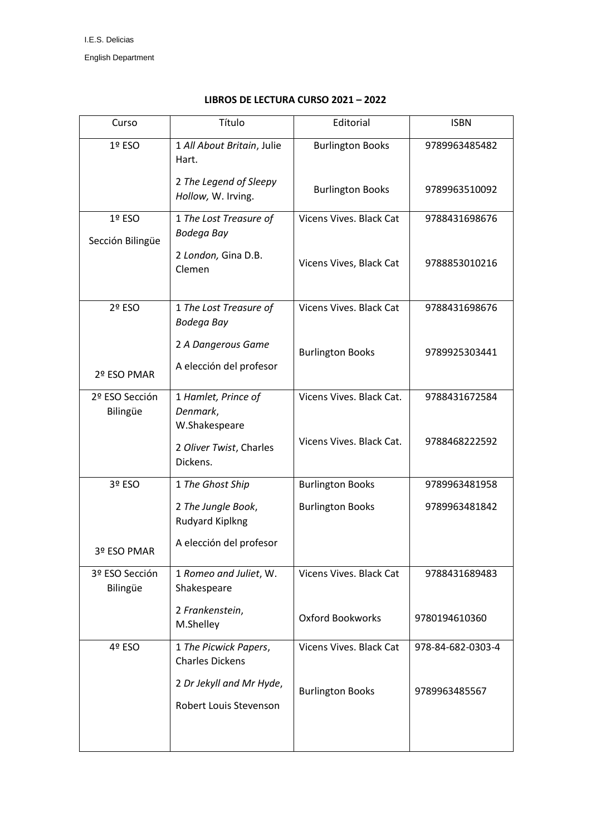| Curso                      | Título                                             | Editorial                | <b>ISBN</b>       |
|----------------------------|----------------------------------------------------|--------------------------|-------------------|
| 1º ESO                     | 1 All About Britain, Julie<br>Hart.                | <b>Burlington Books</b>  | 9789963485482     |
|                            | 2 The Legend of Sleepy<br>Hollow, W. Irving.       | <b>Burlington Books</b>  | 9789963510092     |
| 1º ESO<br>Sección Bilingüe | 1 The Lost Treasure of<br>Bodega Bay               | Vicens Vives. Black Cat  | 9788431698676     |
|                            | 2 London, Gina D.B.<br>Clemen                      | Vicens Vives, Black Cat  | 9788853010216     |
| 2º ESO                     | 1 The Lost Treasure of<br>Bodega Bay               | Vicens Vives. Black Cat  | 9788431698676     |
| 2º ESO PMAR                | 2 A Dangerous Game<br>A elección del profesor      | <b>Burlington Books</b>  | 9789925303441     |
| 2º ESO Sección<br>Bilingüe | 1 Hamlet, Prince of<br>Denmark,<br>W.Shakespeare   | Vicens Vives. Black Cat. | 9788431672584     |
|                            | 2 Oliver Twist, Charles<br>Dickens.                | Vicens Vives. Black Cat. | 9788468222592     |
| 3º ESO                     | 1 The Ghost Ship                                   | <b>Burlington Books</b>  | 9789963481958     |
|                            | 2 The Jungle Book,<br><b>Rudyard Kiplkng</b>       | <b>Burlington Books</b>  | 9789963481842     |
| 3º ESO PMAR                | A elección del profesor                            |                          |                   |
| 3º ESO Sección<br>Bilingüe | 1 Romeo and Juliet, W.<br>Shakespeare              | Vicens Vives, Black Cat  | 9788431689483     |
|                            | 2 Frankenstein,<br>M.Shelley                       | <b>Oxford Bookworks</b>  | 9780194610360     |
| 4º ESO                     | 1 The Picwick Papers,<br><b>Charles Dickens</b>    | Vicens Vives. Black Cat  | 978-84-682-0303-4 |
|                            | 2 Dr Jekyll and Mr Hyde,<br>Robert Louis Stevenson | <b>Burlington Books</b>  | 9789963485567     |
|                            |                                                    |                          |                   |

## **LIBROS DE LECTURA CURSO 2021 – 2022**